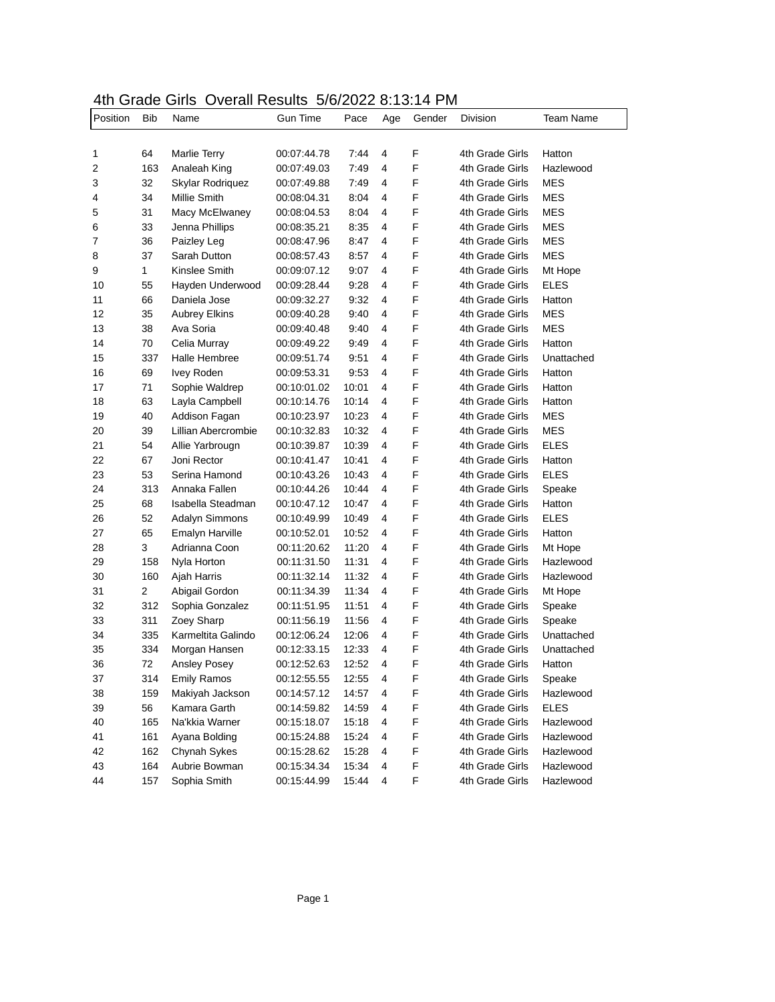## 4th Grade Girls Overall Results 5/6/2022 8:13:14 PM

| Position | Bib | Name                 | <b>Gun Time</b> | Pace  | Age | Gender | Division        | Team Name   |
|----------|-----|----------------------|-----------------|-------|-----|--------|-----------------|-------------|
|          |     |                      |                 |       |     |        |                 |             |
| 1        | 64  | <b>Marlie Terry</b>  | 00:07:44.78     | 7:44  | 4   | F      | 4th Grade Girls | Hatton      |
| 2        | 163 | Analeah King         | 00:07:49.03     | 7:49  | 4   | F      | 4th Grade Girls | Hazlewood   |
| 3        | 32  | Skylar Rodriquez     | 00:07:49.88     | 7:49  | 4   | F      | 4th Grade Girls | MES         |
| 4        | 34  | Millie Smith         | 00:08:04.31     | 8:04  | 4   | F      | 4th Grade Girls | <b>MES</b>  |
| 5        | 31  | Macy McElwaney       | 00:08:04.53     | 8:04  | 4   | F      | 4th Grade Girls | <b>MES</b>  |
| 6        | 33  | Jenna Phillips       | 00:08:35.21     | 8:35  | 4   | F      | 4th Grade Girls | <b>MES</b>  |
| 7        | 36  | Paizley Leg          | 00:08:47.96     | 8:47  | 4   | F      | 4th Grade Girls | <b>MES</b>  |
| 8        | 37  | Sarah Dutton         | 00:08:57.43     | 8:57  | 4   | F      | 4th Grade Girls | <b>MES</b>  |
| 9        | 1   | Kinslee Smith        | 00:09:07.12     | 9:07  | 4   | F      | 4th Grade Girls | Mt Hope     |
| 10       | 55  | Hayden Underwood     | 00:09:28.44     | 9:28  | 4   | F      | 4th Grade Girls | <b>ELES</b> |
| 11       | 66  | Daniela Jose         | 00:09:32.27     | 9:32  | 4   | F      | 4th Grade Girls | Hatton      |
| 12       | 35  | <b>Aubrey Elkins</b> | 00:09:40.28     | 9:40  | 4   | F      | 4th Grade Girls | MES         |
| 13       | 38  | Ava Soria            | 00:09:40.48     | 9:40  | 4   | F      | 4th Grade Girls | MES         |
| 14       | 70  | Celia Murray         | 00:09:49.22     | 9:49  | 4   | F      | 4th Grade Girls | Hatton      |
| 15       | 337 | <b>Halle Hembree</b> | 00:09:51.74     | 9:51  | 4   | F      | 4th Grade Girls | Unattached  |
| 16       | 69  | <b>Ivey Roden</b>    | 00:09:53.31     | 9:53  | 4   | F      | 4th Grade Girls | Hatton      |
| 17       | 71  | Sophie Waldrep       | 00:10:01.02     | 10:01 | 4   | F      | 4th Grade Girls | Hatton      |
| 18       | 63  | Layla Campbell       | 00:10:14.76     | 10:14 | 4   | F      | 4th Grade Girls | Hatton      |
| 19       | 40  | Addison Fagan        | 00:10:23.97     | 10:23 | 4   | F      | 4th Grade Girls | MES         |
| 20       | 39  | Lillian Abercrombie  | 00:10:32.83     | 10:32 | 4   | F      | 4th Grade Girls | <b>MES</b>  |
| 21       | 54  | Allie Yarbrougn      | 00:10:39.87     | 10:39 | 4   | F      | 4th Grade Girls | <b>ELES</b> |
| 22       | 67  | Joni Rector          | 00:10:41.47     | 10:41 | 4   | F      | 4th Grade Girls | Hatton      |
| 23       | 53  | Serina Hamond        | 00:10:43.26     | 10:43 | 4   | F      | 4th Grade Girls | <b>ELES</b> |
| 24       | 313 | Annaka Fallen        | 00:10:44.26     | 10:44 | 4   | F      | 4th Grade Girls | Speake      |
| 25       | 68  | Isabella Steadman    | 00:10:47.12     | 10:47 | 4   | F      | 4th Grade Girls | Hatton      |
| 26       | 52  | Adalyn Simmons       | 00:10:49.99     | 10:49 | 4   | F      | 4th Grade Girls | <b>ELES</b> |
| 27       | 65  | Emalyn Harville      | 00:10:52.01     | 10:52 | 4   | F      | 4th Grade Girls | Hatton      |
| 28       | 3   | Adrianna Coon        | 00:11:20.62     | 11:20 | 4   | F      | 4th Grade Girls | Mt Hope     |
| 29       | 158 | Nyla Horton          | 00:11:31.50     | 11:31 | 4   | F      | 4th Grade Girls | Hazlewood   |
| 30       | 160 | Ajah Harris          | 00:11:32.14     | 11:32 | 4   | F      | 4th Grade Girls | Hazlewood   |
| 31       | 2   | Abigail Gordon       | 00:11:34.39     | 11:34 | 4   | F      | 4th Grade Girls | Mt Hope     |
| 32       | 312 | Sophia Gonzalez      | 00:11:51.95     | 11:51 | 4   | F      | 4th Grade Girls | Speake      |
| 33       | 311 | Zoey Sharp           | 00:11:56.19     | 11:56 | 4   | F      | 4th Grade Girls | Speake      |
| 34       | 335 | Karmeltita Galindo   | 00:12:06.24     | 12:06 | 4   | F      | 4th Grade Girls | Unattached  |
| 35       | 334 | Morgan Hansen        | 00:12:33.15     | 12:33 | 4   | F      | 4th Grade Girls | Unattached  |
| 36       | 72  | Ansley Posey         | 00:12:52.63     | 12:52 | 4   | F      | 4th Grade Girls | Hatton      |
| 37       | 314 | <b>Emily Ramos</b>   | 00:12:55.55     | 12:55 | 4   | F      | 4th Grade Girls | Speake      |
| 38       | 159 | Makiyah Jackson      | 00:14:57.12     | 14:57 | 4   | F      | 4th Grade Girls | Hazlewood   |
| 39       | 56  | Kamara Garth         | 00:14:59.82     | 14:59 | 4   | F      | 4th Grade Girls | <b>ELES</b> |
| 40       | 165 | Na'kkia Warner       | 00:15:18.07     | 15:18 | 4   | F      | 4th Grade Girls | Hazlewood   |
| 41       | 161 | Ayana Bolding        | 00:15:24.88     | 15:24 | 4   | F      | 4th Grade Girls | Hazlewood   |
| 42       | 162 | Chynah Sykes         | 00:15:28.62     | 15:28 | 4   | F      | 4th Grade Girls | Hazlewood   |
| 43       | 164 | Aubrie Bowman        | 00:15:34.34     | 15:34 | 4   | F      | 4th Grade Girls | Hazlewood   |
| 44       | 157 | Sophia Smith         | 00:15:44.99     | 15:44 | 4   | F      | 4th Grade Girls | Hazlewood   |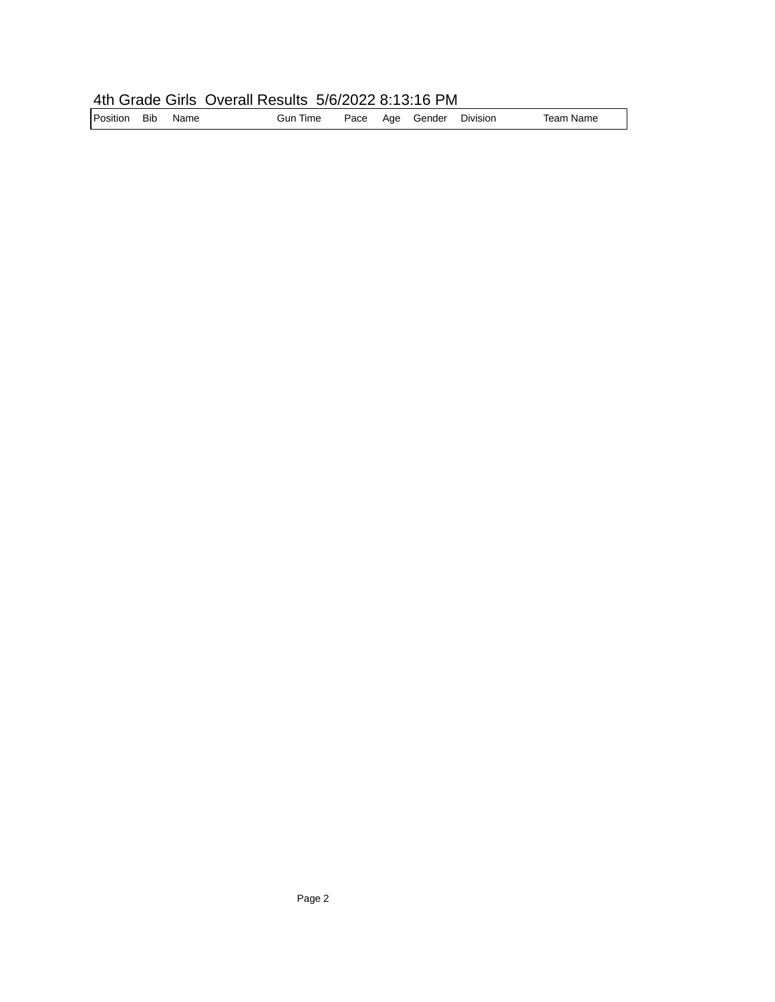## 4th Grade Girls Overall Results 5/6/2022 8:13:16 PM

| Position Bib |  | Name | <b>Gun Time</b> |  |  | Pace Age Gender Division |  | Team Name |
|--------------|--|------|-----------------|--|--|--------------------------|--|-----------|
|--------------|--|------|-----------------|--|--|--------------------------|--|-----------|